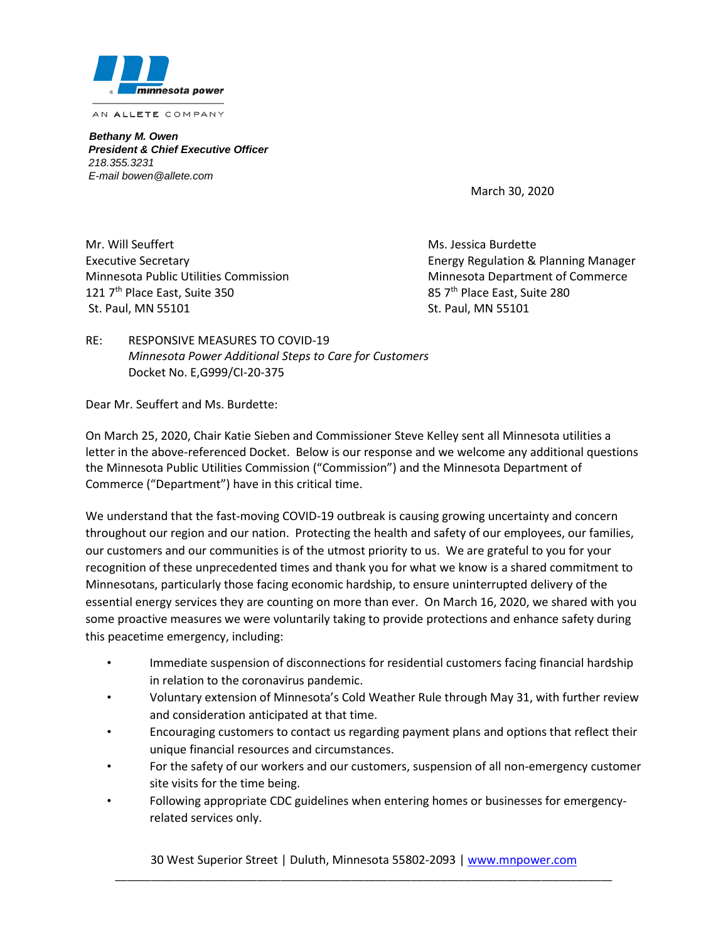

*Bethany M. Owen President & Chief Executive Officer 218.355.3231 E-mail bowen@allete.com*

March 30, 2020

Mr. Will Seuffert Ms. Jessica Burdette Minnesota Public Utilities Commission Minnesota Department of Commerce 121 7<sup>th</sup> Place East, Suite 350 85 7<sup>th</sup> Place East, Suite 280 St. Paul, MN 55101 St. Paul, MN 55101

Executive Secretary Energy Regulation & Planning Manager

RE: RESPONSIVE MEASURES TO COVID-19 *Minnesota Power Additional Steps to Care for Customers* Docket No. E,G999/CI-20-375

Dear Mr. Seuffert and Ms. Burdette:

On March 25, 2020, Chair Katie Sieben and Commissioner Steve Kelley sent all Minnesota utilities a letter in the above-referenced Docket. Below is our response and we welcome any additional questions the Minnesota Public Utilities Commission ("Commission") and the Minnesota Department of Commerce ("Department") have in this critical time.

We understand that the fast-moving COVID-19 outbreak is causing growing uncertainty and concern throughout our region and our nation. Protecting the health and safety of our employees, our families, our customers and our communities is of the utmost priority to us. We are grateful to you for your recognition of these unprecedented times and thank you for what we know is a shared commitment to Minnesotans, particularly those facing economic hardship, to ensure uninterrupted delivery of the essential energy services they are counting on more than ever. On March 16, 2020, we shared with you some proactive measures we were voluntarily taking to provide protections and enhance safety during this peacetime emergency, including:

- Immediate suspension of disconnections for residential customers facing financial hardship in relation to the coronavirus pandemic.
- Voluntary extension of Minnesota's Cold Weather Rule through May 31, with further review and consideration anticipated at that time.
- Encouraging customers to contact us regarding payment plans and options that reflect their unique financial resources and circumstances.
- For the safety of our workers and our customers, suspension of all non-emergency customer site visits for the time being.
- Following appropriate CDC guidelines when entering homes or businesses for emergencyrelated services only.

30 West Superior Street | Duluth, Minnesota 55802-2093 [| www.mnpower.com](http://www.mnpower.com/) \_\_\_\_\_\_\_\_\_\_\_\_\_\_\_\_\_\_\_\_\_\_\_\_\_\_\_\_\_\_\_\_\_\_\_\_\_\_\_\_\_\_\_\_\_\_\_\_\_\_\_\_\_\_\_\_\_\_\_\_\_\_\_\_\_\_\_\_\_\_\_\_\_\_\_\_\_\_\_\_\_\_\_\_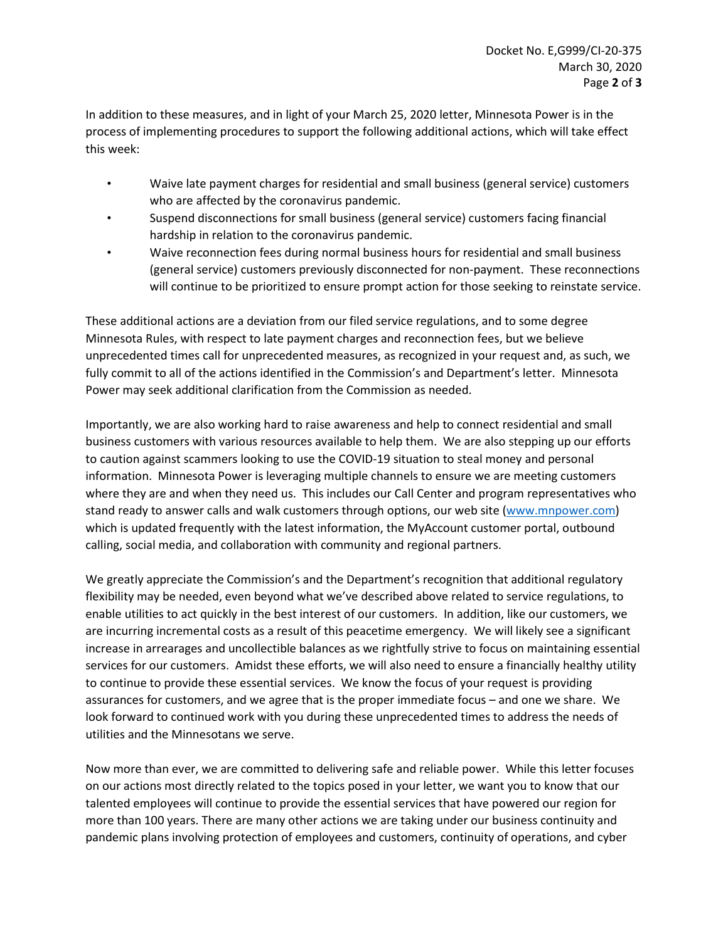In addition to these measures, and in light of your March 25, 2020 letter, Minnesota Power is in the process of implementing procedures to support the following additional actions, which will take effect this week:

- Waive late payment charges for residential and small business (general service) customers who are affected by the coronavirus pandemic.
- Suspend disconnections for small business (general service) customers facing financial hardship in relation to the coronavirus pandemic.
- Waive reconnection fees during normal business hours for residential and small business (general service) customers previously disconnected for non-payment. These reconnections will continue to be prioritized to ensure prompt action for those seeking to reinstate service.

These additional actions are a deviation from our filed service regulations, and to some degree Minnesota Rules, with respect to late payment charges and reconnection fees, but we believe unprecedented times call for unprecedented measures, as recognized in your request and, as such, we fully commit to all of the actions identified in the Commission's and Department's letter. Minnesota Power may seek additional clarification from the Commission as needed.

Importantly, we are also working hard to raise awareness and help to connect residential and small business customers with various resources available to help them. We are also stepping up our efforts to caution against scammers looking to use the COVID-19 situation to steal money and personal information. Minnesota Power is leveraging multiple channels to ensure we are meeting customers where they are and when they need us. This includes our Call Center and program representatives who stand ready to answer calls and walk customers through options, our web site [\(www.mnpower.com\)](http://www.mnpower.com/) which is updated frequently with the latest information, the MyAccount customer portal, outbound calling, social media, and collaboration with community and regional partners.

We greatly appreciate the Commission's and the Department's recognition that additional regulatory flexibility may be needed, even beyond what we've described above related to service regulations, to enable utilities to act quickly in the best interest of our customers. In addition, like our customers, we are incurring incremental costs as a result of this peacetime emergency. We will likely see a significant increase in arrearages and uncollectible balances as we rightfully strive to focus on maintaining essential services for our customers. Amidst these efforts, we will also need to ensure a financially healthy utility to continue to provide these essential services. We know the focus of your request is providing assurances for customers, and we agree that is the proper immediate focus – and one we share. We look forward to continued work with you during these unprecedented times to address the needs of utilities and the Minnesotans we serve.

Now more than ever, we are committed to delivering safe and reliable power. While this letter focuses on our actions most directly related to the topics posed in your letter, we want you to know that our talented employees will continue to provide the essential services that have powered our region for more than 100 years. There are many other actions we are taking under our business continuity and pandemic plans involving protection of employees and customers, continuity of operations, and cyber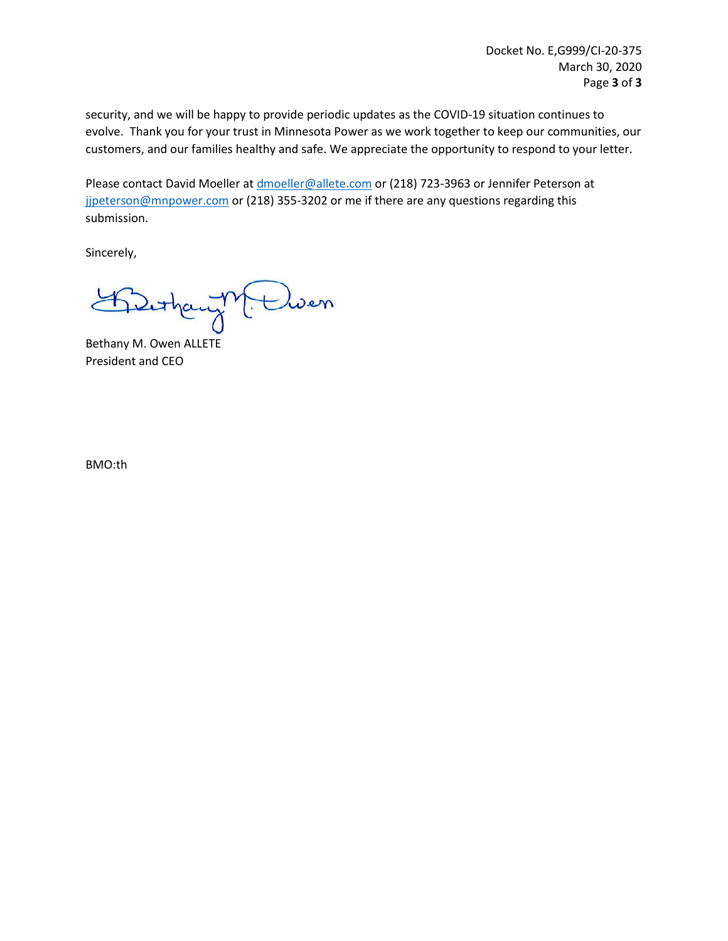security, and we will be happy to provide periodic updates as the COVID-19 situation continues to evolve. Thank you for your trust in Minnesota Power as we work together to keep our communities, our customers, and our families healthy and safe. We appreciate the opportunity to respond to your letter.

Please contact David Moeller at [dmoeller@allete.com](mailto:dmoeller@allete.com) or (218) 723-3963 or Jennifer Peterson at jipeterson@mnpower.com or (218) 355-3202 or me if there are any questions regarding this submission.

Sincerely,

M. Cluen

Bethany M. Owen ALLETE President and CEO

BMO:th